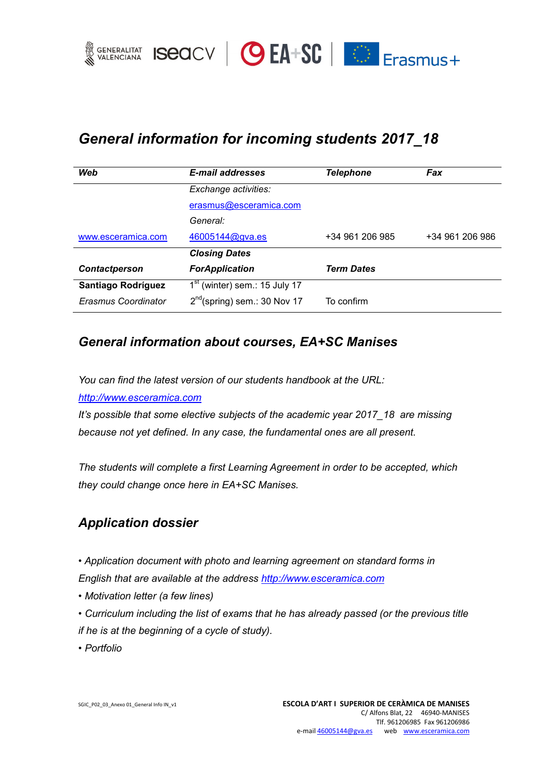

# *General information for incoming students 2017\_18*

| Web                       | E-mail addresses                  | <b>Telephone</b>  | Fax             |
|---------------------------|-----------------------------------|-------------------|-----------------|
|                           | Exchange activities:              |                   |                 |
|                           | erasmus@esceramica.com            |                   |                 |
|                           | General:                          |                   |                 |
| www.esceramica.com        | 46005144@gva.es                   | +34 961 206 985   | +34 961 206 986 |
|                           | <b>Closing Dates</b>              |                   |                 |
| <b>Contactperson</b>      | <b>ForApplication</b>             | <b>Term Dates</b> |                 |
| <b>Santiago Rodríguez</b> | (winter) sem.: 15 July 17         |                   |                 |
| Erasmus Coordinator       | $2^{nd}$ (spring) sem.: 30 Nov 17 | To confirm        |                 |

## *General information about courses, EA+SC Manises*

*You can find the latest version of our students handbook at the URL: [http://www.esceramica.com](http://www.esceramica.com/)*

*It's possible that some elective subjects of the academic year 2017\_18 are missing because not yet defined. In any case, the fundamental ones are all present.*

*The students will complete a first Learning Agreement in order to be accepted, which they could change once here in EA+SC Manises.* 

# *Application dossier*

*• Application document with photo and learning agreement on standard forms in* 

*English that are available at the address [http://www.esceramica.com](http://www.esceramica.com/)*

*• Motivation letter (a few lines)*

*• Curriculum including the list of exams that he has already passed (or the previous title if he is at the beginning of a cycle of study).*

*• Portfolio*